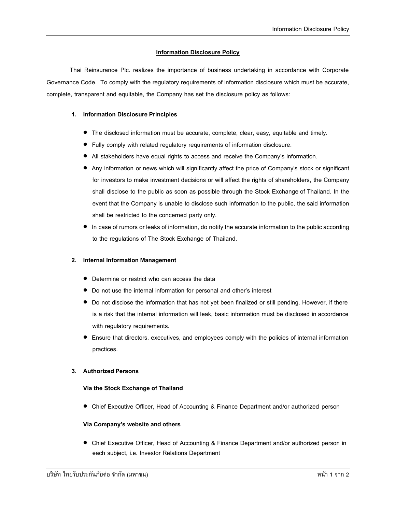# **Information Disclosure Policy**

Thai Reinsurance Plc. realizes the importance of business undertaking in accordance with Corporate Governance Code. To comply with the regulatory requirements of information disclosure which must be accurate, complete, transparent and equitable, the Company has set the disclosure policy as follows:

#### **1. Information Disclosure Principles**

- The disclosed information must be accurate, complete, clear, easy, equitable and timely.
- Fully comply with related regulatory requirements of information disclosure.
- All stakeholders have equal rights to access and receive the Company's information.
- Any information or news which will significantly affect the price of Company's stock or significant for investors to make investment decisions or will affect the rights of shareholders, the Company shall disclose to the public as soon as possible through the Stock Exchange of Thailand. In the event that the Company is unable to disclose such information to the public, the said information shall be restricted to the concerned party only.
- In case of rumors or leaks of information, do notify the accurate information to the public according to the regulations of The Stock Exchange of Thailand.

#### **2. Internal Information Management**

- Determine or restrict who can access the data
- Do not use the internal information for personal and other's interest
- Do not disclose the information that has not yet been finalized or still pending. However, if there is a risk that the internal information will leak, basic information must be disclosed in accordance with regulatory requirements.
- Ensure that directors, executives, and employees comply with the policies of internal information practices.

#### **3. Authorized Persons**

#### **Via the Stock Exchange of Thailand**

Chief Executive Officer, Head of Accounting & Finance Department and/or authorized person

#### **Via Company's websiteandothers**

Chief Executive Officer, Head of Accounting & Finance Department and/or authorized person in each subject, i.e. Investor Relations Department